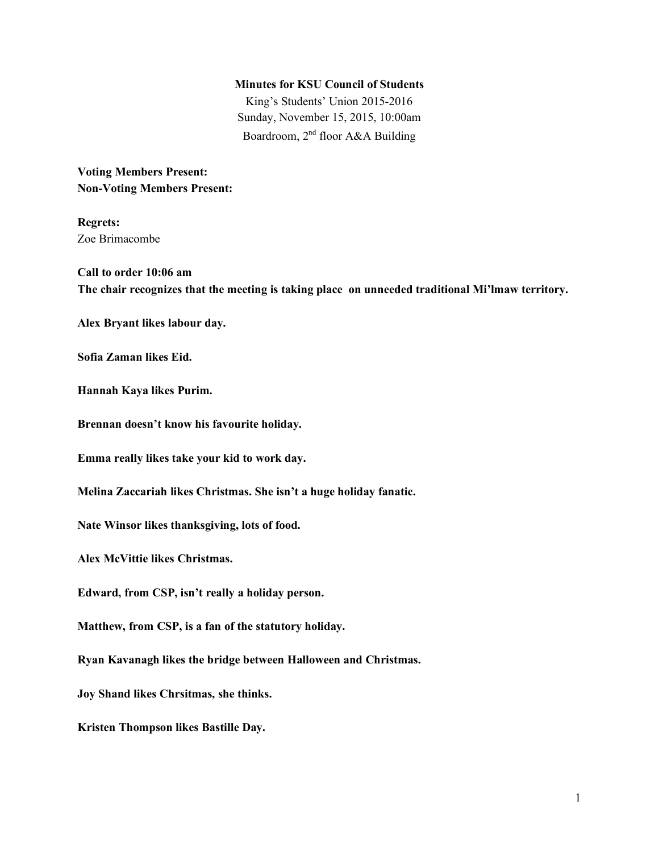#### **Minutes for KSU Council of Students**

King's Students' Union 2015-2016 Sunday, November 15, 2015, 10:00am Boardroom, 2nd floor A&A Building

**Voting Members Present: Non-Voting Members Present:**

**Regrets:** Zoe Brimacombe

**Call to order 10:06 am The chair recognizes that the meeting is taking place on unneeded traditional Mi'lmaw territory.**

**Alex Bryant likes labour day.**

**Sofia Zaman likes Eid.**

**Hannah Kaya likes Purim.**

**Brennan doesn't know his favourite holiday.**

**Emma really likes take your kid to work day.**

**Melina Zaccariah likes Christmas. She isn't a huge holiday fanatic.**

**Nate Winsor likes thanksgiving, lots of food.**

**Alex McVittie likes Christmas.**

**Edward, from CSP, isn't really a holiday person.**

**Matthew, from CSP, is a fan of the statutory holiday.**

**Ryan Kavanagh likes the bridge between Halloween and Christmas.**

**Joy Shand likes Chrsitmas, she thinks.**

**Kristen Thompson likes Bastille Day.**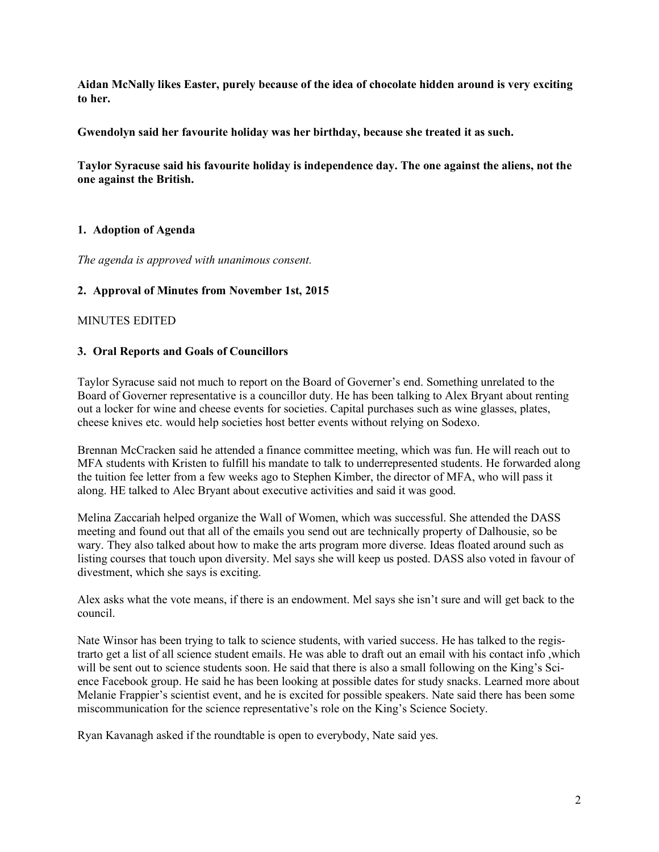**Aidan McNally likes Easter, purely because of the idea of chocolate hidden around is very exciting to her.**

**Gwendolyn said her favourite holiday was her birthday, because she treated it as such.**

**Taylor Syracuse said his favourite holiday is independence day. The one against the aliens, not the one against the British.**

# **1. Adoption of Agenda**

*The agenda is approved with unanimous consent.*

# **2. Approval of Minutes from November 1st, 2015**

MINUTES EDITED

# **3. Oral Reports and Goals of Councillors**

Taylor Syracuse said not much to report on the Board of Governer's end. Something unrelated to the Board of Governer representative is a councillor duty. He has been talking to Alex Bryant about renting out a locker for wine and cheese events for societies. Capital purchases such as wine glasses, plates, cheese knives etc. would help societies host better events without relying on Sodexo.

Brennan McCracken said he attended a finance committee meeting, which was fun. He will reach out to MFA students with Kristen to fulfill his mandate to talk to underrepresented students. He forwarded along the tuition fee letter from a few weeks ago to Stephen Kimber, the director of MFA, who will pass it along. HE talked to Alec Bryant about executive activities and said it was good.

Melina Zaccariah helped organize the Wall of Women, which was successful. She attended the DASS meeting and found out that all of the emails you send out are technically property of Dalhousie, so be wary. They also talked about how to make the arts program more diverse. Ideas floated around such as listing courses that touch upon diversity. Mel says she will keep us posted. DASS also voted in favour of divestment, which she says is exciting.

Alex asks what the vote means, if there is an endowment. Mel says she isn't sure and will get back to the council.

Nate Winsor has been trying to talk to science students, with varied success. He has talked to the registrarto get a list of all science student emails. He was able to draft out an email with his contact info ,which will be sent out to science students soon. He said that there is also a small following on the King's Sci-ence Facebook group. He said he has been looking at possible dates for study snacks. Learned more about Melanie Frappier's scientist event, and he is excited for possible speakers. Nate said there has been some miscommunication for the science representative's role on the King's Science Society.

Ryan Kavanagh asked if the roundtable is open to everybody, Nate said yes.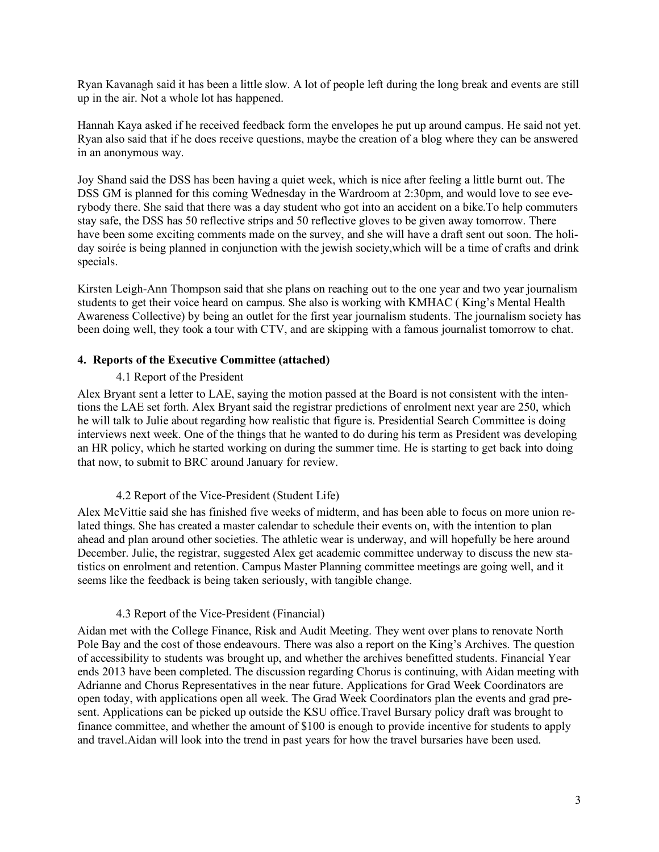Ryan Kavanagh said it has been a little slow. A lot of people left during the long break and events are still up in the air. Not a whole lot has happened.

Hannah Kaya asked if he received feedback form the envelopes he put up around campus. He said not yet. Ryan also said that if he does receive questions, maybe the creation of a blog where they can be answered in an anonymous way.

Joy Shand said the DSS has been having a quiet week, which is nice after feeling a little burnt out. The DSS GM is planned for this coming Wednesday in the Wardroom at 2:30pm, and would love to see everybody there. She said that there was a day student who got into an accident on a bike.To help commuters stay safe, the DSS has 50 reflective strips and 50 reflective gloves to be given away tomorrow. There have been some exciting comments made on the survey, and she will have a draft sent out soon. The holiday soirée is being planned in conjunction with the jewish society,which will be a time of crafts and drink specials.

Kirsten Leigh-Ann Thompson said that she plans on reaching out to the one year and two year journalism students to get their voice heard on campus. She also is working with KMHAC ( King's Mental Health Awareness Collective) by being an outlet for the first year journalism students. The journalism society has been doing well, they took a tour with CTV, and are skipping with a famous journalist tomorrow to chat.

## **4. Reports of the Executive Committee (attached)**

### 4.1 Report of the President

Alex Bryant sent a letter to LAE, saying the motion passed at the Board is not consistent with the intentions the LAE set forth. Alex Bryant said the registrar predictions of enrolment next year are 250, which he will talk to Julie about regarding how realistic that figure is. Presidential Search Committee is doing interviews next week. One of the things that he wanted to do during his term as President was developing an HR policy, which he started working on during the summer time. He is starting to get back into doing that now, to submit to BRC around January for review.

#### 4.2 Report of the Vice-President (Student Life)

Alex McVittie said she has finished five weeks of midterm, and has been able to focus on more union related things. She has created a master calendar to schedule their events on, with the intention to plan ahead and plan around other societies. The athletic wear is underway, and will hopefully be here around December. Julie, the registrar, suggested Alex get academic committee underway to discuss the new statistics on enrolment and retention. Campus Master Planning committee meetings are going well, and it seems like the feedback is being taken seriously, with tangible change.

#### 4.3 Report of the Vice-President (Financial)

Aidan met with the College Finance, Risk and Audit Meeting. They went over plans to renovate North Pole Bay and the cost of those endeavours. There was also a report on the King's Archives. The question of accessibility to students was brought up, and whether the archives benefitted students. Financial Year ends 2013 have been completed. The discussion regarding Chorus is continuing, with Aidan meeting with Adrianne and Chorus Representatives in the near future. Applications for Grad Week Coordinators are open today, with applications open all week. The Grad Week Coordinators plan the events and grad present. Applications can be picked up outside the KSU office.Travel Bursary policy draft was brought to finance committee, and whether the amount of \$100 is enough to provide incentive for students to apply and travel.Aidan will look into the trend in past years for how the travel bursaries have been used.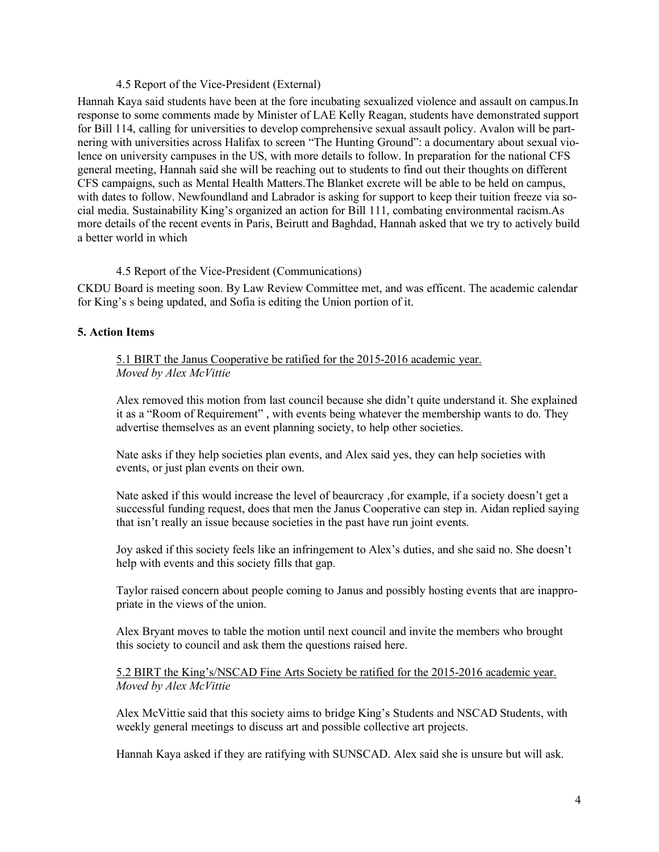### 4.5 Report of the Vice-President (External)

Hannah Kaya said students have been at the fore incubating sexualized violence and assault on campus.In response to some comments made by Minister of LAE Kelly Reagan, students have demonstrated support for Bill 114, calling for universities to develop comprehensive sexual assault policy. Avalon will be partnering with universities across Halifax to screen "The Hunting Ground": a documentary about sexual violence on university campuses in the US, with more details to follow. In preparation for the national CFS general meeting, Hannah said she will be reaching out to students to find out their thoughts on different CFS campaigns, such as Mental Health Matters.The Blanket excrete will be able to be held on campus, with dates to follow. Newfoundland and Labrador is asking for support to keep their tuition freeze via social media. Sustainability King's organized an action for Bill 111, combating environmental racism.As more details of the recent events in Paris, Beirutt and Baghdad, Hannah asked that we try to actively build a better world in which

### 4.5 Report of the Vice-President (Communications)

CKDU Board is meeting soon. By Law Review Committee met, and was efficent. The academic calendar for King's s being updated, and Sofia is editing the Union portion of it.

## **5. Action Items**

5.1 BIRT the Janus Cooperative be ratified for the 2015-2016 academic year. *Moved by Alex McVittie*

Alex removed this motion from last council because she didn't quite understand it. She explained it as a "Room of Requirement" , with events being whatever the membership wants to do. They advertise themselves as an event planning society, to help other societies.

Nate asks if they help societies plan events, and Alex said yes, they can help societies with events, or just plan events on their own.

Nate asked if this would increase the level of beaurcracy ,for example, if a society doesn't get a successful funding request, does that men the Janus Cooperative can step in. Aidan replied saying that isn't really an issue because societies in the past have run joint events.

Joy asked if this society feels like an infringement to Alex's duties, and she said no. She doesn't help with events and this society fills that gap.

Taylor raised concern about people coming to Janus and possibly hosting events that are inappropriate in the views of the union.

Alex Bryant moves to table the motion until next council and invite the members who brought this society to council and ask them the questions raised here.

5.2 BIRT the King's/NSCAD Fine Arts Society be ratified for the 2015-2016 academic year. *Moved by Alex McVittie*

Alex McVittie said that this society aims to bridge King's Students and NSCAD Students, with weekly general meetings to discuss art and possible collective art projects.

Hannah Kaya asked if they are ratifying with SUNSCAD. Alex said she is unsure but will ask.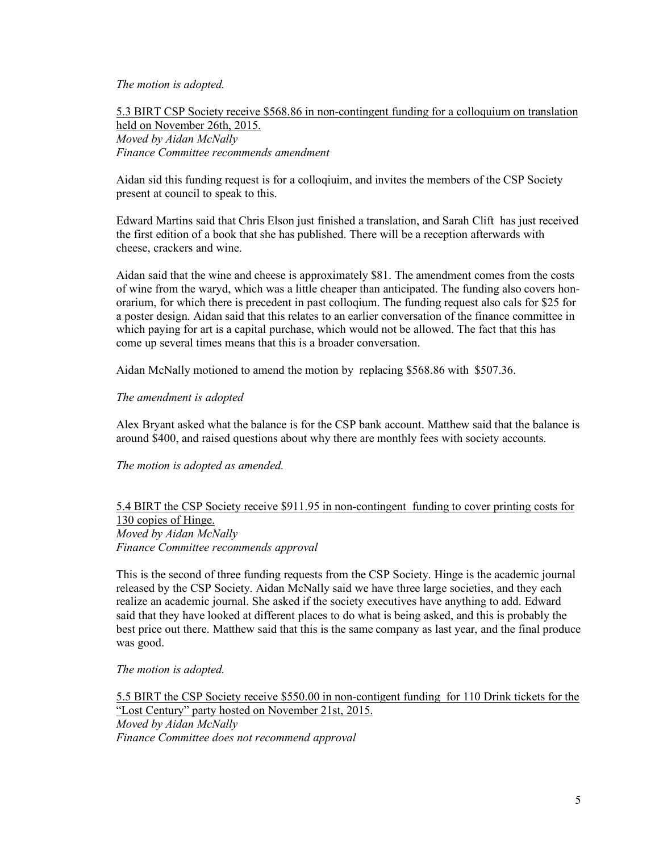### *The motion is adopted.*

5.3 BIRT CSP Society receive \$568.86 in non-contingent funding for a colloquium on translation held on November 26th, 2015. *Moved by Aidan McNally Finance Committee recommends amendment*

Aidan sid this funding request is for a colloqiuim, and invites the members of the CSP Society present at council to speak to this.

Edward Martins said that Chris Elson just finished a translation, and Sarah Clift has just received the first edition of a book that she has published. There will be a reception afterwards with cheese, crackers and wine.

Aidan said that the wine and cheese is approximately \$81. The amendment comes from the costs of wine from the waryd, which was a little cheaper than anticipated. The funding also covers honorarium, for which there is precedent in past colloqium. The funding request also cals for \$25 for a poster design. Aidan said that this relates to an earlier conversation of the finance committee in which paying for art is a capital purchase, which would not be allowed. The fact that this has come up several times means that this is a broader conversation.

Aidan McNally motioned to amend the motion by replacing \$568.86 with \$507.36.

### *The amendment is adopted*

Alex Bryant asked what the balance is for the CSP bank account. Matthew said that the balance is around \$400, and raised questions about why there are monthly fees with society accounts.

*The motion is adopted as amended.*

## 5.4 BIRT the CSP Society receive \$911.95 in non-contingent funding to cover printing costs for 130 copies of Hinge. *Moved by Aidan McNally Finance Committee recommends approval*

This is the second of three funding requests from the CSP Society. Hinge is the academic journal released by the CSP Society. Aidan McNally said we have three large societies, and they each realize an academic journal. She asked if the society executives have anything to add. Edward said that they have looked at different places to do what is being asked, and this is probably the best price out there. Matthew said that this is the same company as last year, and the final produce was good.

*The motion is adopted.*

5.5 BIRT the CSP Society receive \$550.00 in non-contigent funding for 110 Drink tickets for the "Lost Century" party hosted on November 21st, 2015.

*Moved by Aidan McNally Finance Committee does not recommend approval*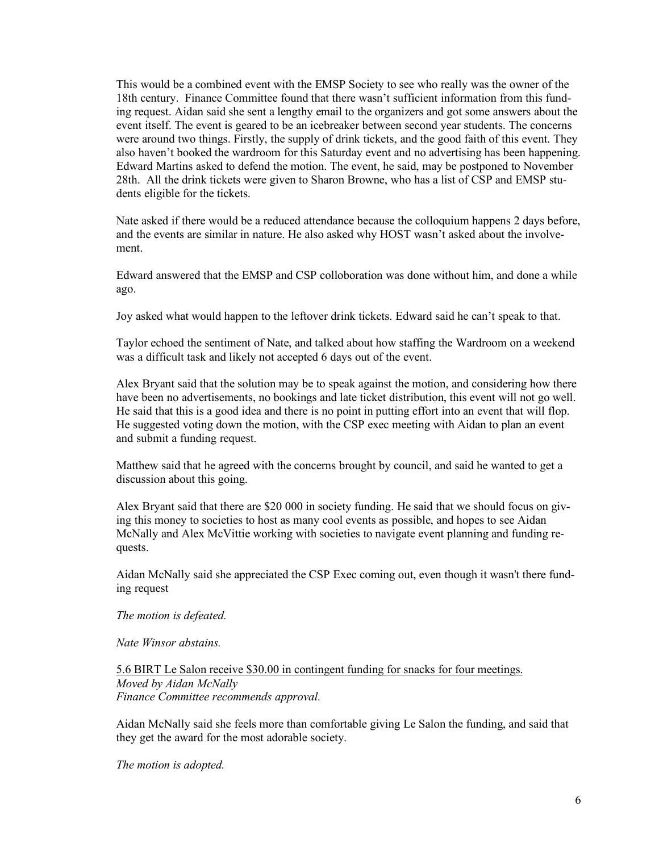This would be a combined event with the EMSP Society to see who really was the owner of the 18th century. Finance Committee found that there wasn't sufficient information from this funding request. Aidan said she sent a lengthy email to the organizers and got some answers about the event itself. The event is geared to be an icebreaker between second year students. The concerns were around two things. Firstly, the supply of drink tickets, and the good faith of this event. They also haven't booked the wardroom for this Saturday event and no advertising has been happening. Edward Martins asked to defend the motion. The event, he said, may be postponed to November 28th. All the drink tickets were given to Sharon Browne, who has a list of CSP and EMSP students eligible for the tickets.

Nate asked if there would be a reduced attendance because the colloquium happens 2 days before, and the events are similar in nature. He also asked why HOST wasn't asked about the involvement.

Edward answered that the EMSP and CSP colloboration was done without him, and done a while ago.

Joy asked what would happen to the leftover drink tickets. Edward said he can't speak to that.

Taylor echoed the sentiment of Nate, and talked about how staffing the Wardroom on a weekend was a difficult task and likely not accepted 6 days out of the event.

Alex Bryant said that the solution may be to speak against the motion, and considering how there have been no advertisements, no bookings and late ticket distribution, this event will not go well. He said that this is a good idea and there is no point in putting effort into an event that will flop. He suggested voting down the motion, with the CSP exec meeting with Aidan to plan an event and submit a funding request.

Matthew said that he agreed with the concerns brought by council, and said he wanted to get a discussion about this going.

Alex Bryant said that there are \$20 000 in society funding. He said that we should focus on giving this money to societies to host as many cool events as possible, and hopes to see Aidan McNally and Alex McVittie working with societies to navigate event planning and funding requests.

Aidan McNally said she appreciated the CSP Exec coming out, even though it wasn't there funding request

#### *The motion is defeated.*

*Nate Winsor abstains.*

5.6 BIRT Le Salon receive \$30.00 in contingent funding for snacks for four meetings. *Moved by Aidan McNally Finance Committee recommends approval.*

Aidan McNally said she feels more than comfortable giving Le Salon the funding, and said that they get the award for the most adorable society.

*The motion is adopted.*